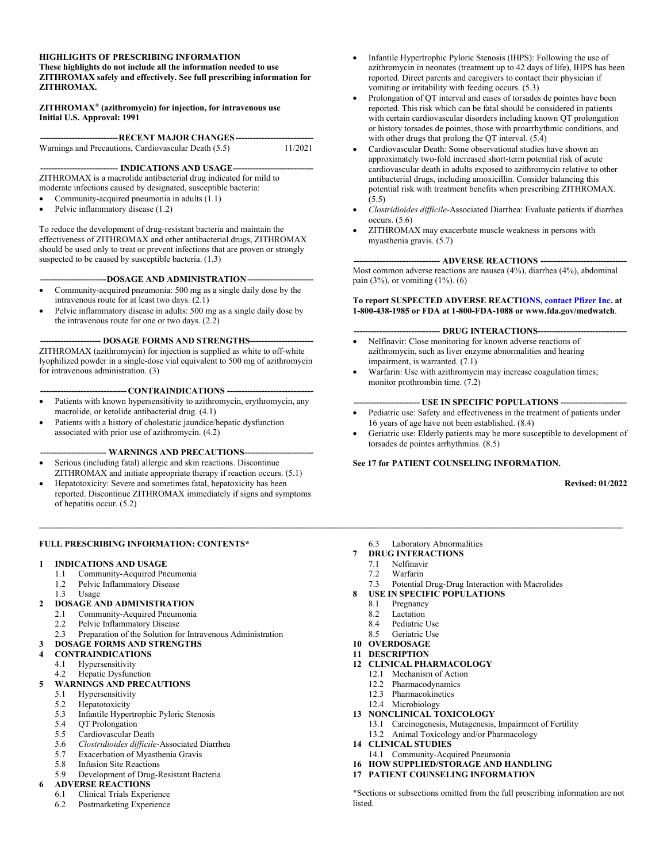#### **HIGHLIGHTS OF PRESCRIBING INFORMATION**

**These highlights do not include all the information needed to use ZITHROMAX safely and effectively. See full prescribing information for ZITHROMAX.**

**ZITHROMAX (azithromycin) for injection, for intravenous use Initial U.S. Approval: 1991**

| ------------------------------RECENT MAJOR CHANGES------------------------------ |         |
|----------------------------------------------------------------------------------|---------|
| Warnings and Precautions, Cardiovascular Death (5.5)                             | 11/2021 |

**--------------------------- INDICATIONS AND USAGE----------------------------**

ZITHROMAX is a macrolide antibacterial drug indicated for mild to moderate infections caused by designated, susceptible bacteria:

- Community-acquired pneumonia in adults (1.1)
- Pelvic inflammatory disease (1.2)

To reduce the development of drug-resistant bacteria and maintain the effectiveness of ZITHROMAX and other antibacterial drugs, ZITHROMAX should be used only to treat or prevent infections that are proven or strongly suspected to be caused by susceptible bacteria.  $(1.3)$ 

**-----------------------DOSAGE AND ADMINISTRATION-----------------------**

- Community-acquired pneumonia: 500 mg as a single daily dose by the intravenous route for at least two days. (2.1)
- Pelvic inflammatory disease in adults: 500 mg as a single daily dose by the intravenous route for one or two days. (2.2)

-- **DOSAGE FORMS AND STRENGTHS---**

ZITHROMAX (azithromycin) for injection is supplied as white to off-white lyophilized powder in a single-dose vial equivalent to 500 mg of azithromycin for intravenous administration. (3)

**------------------------------ CONTRAINDICATIONS ------------------------------**

- Patients with known hypersensitivity to azithromycin, erythromycin, any macrolide, or ketolide antibacterial drug. (4.1)
- Patients with a history of cholestatic jaundice/hepatic dysfunction associated with prior use of azithromycin. (4.2)

- WARNINGS AND PRECAUTIONS---

- Serious (including fatal) allergic and skin reactions. Discontinue ZITHROMAX and initiate appropriate therapy if reaction occurs. (5.1)
- Hepatotoxicity: Severe and sometimes fatal, hepatoxicity has been reported. Discontinue ZITHROMAX immediately if signs and symptoms of hepatitis occur. (5.2)

#### **FULL PRESCRIBING INFORMATION: CONTENTS\***

#### **1 INDICATIONS AND USAGE**

- 1.1 Community-Acquired Pneumonia
- 1.2 Pelvic Inflammatory Disease
- 1.3 Usage

#### **2 DOSAGE AND ADMINISTRATION**

- 2.1 Community-Acquired Pneumonia
- 2.2 Pelvic Inflammatory Disease<br>2.3 Preparation of the Solution fo
- Preparation of the Solution for Intravenous Administration

#### **3 DOSAGE FORMS AND STRENGTHS**

- **4 CONTRAINDICATIONS**
- 4.1 Hypersensitivity
- 4.2 Hepatic Dysfunction

#### **5 WARNINGS AND PRECAUTIONS**

- 5.1 Hypersensitivity
- 5.2 Hepatotoxicity
- 5.3 Infantile Hypertrophic Pyloric Stenosis
- 5.4 QT Prolongation
- 5.5 Cardiovascular Death
- 5.6 *Clostridioides difficile*-Associated Diarrhea
- Exacerbation of Myasthenia Gravis
- 5.8 Infusion Site Reactions
- 5.9 Development of Drug-Resistant Bacteria

# **6 ADVERSE REACTIONS**

- 6.1 Clinical Trials Experience
- 6.2 Postmarketing Experience
- Infantile Hypertrophic Pyloric Stenosis (IHPS): Following the use of azithromycin in neonates (treatment up to 42 days of life), IHPS has been reported. Direct parents and caregivers to contact their physician if vomiting or irritability with feeding occurs. (5.3)
- Prolongation of QT interval and cases of torsades de pointes have been reported. This risk which can be fatal should be considered in patients with certain cardiovascular disorders including known QT prolongation or history torsades de pointes, those with proarrhythmic conditions, and with other drugs that prolong the QT interval.  $(5.4)$
- Cardiovascular Death: Some observational studies have shown an approximately two-fold increased short-term potential risk of acute cardiovascular death in adults exposed to azithromycin relative to other antibacterial drugs, including amoxicillin. Consider balancing this potential risk with treatment benefits when prescribing ZITHROMAX.  $(5.5)$
- *Clostridioides difficile*-Associated Diarrhea: Evaluate patients if diarrhea occurs. (5.6)
- ZITHROMAX may exacerbate muscle weakness in persons with myasthenia gravis. (5.7)

#### **------------------------------ ADVERSE REACTIONS ------------------------------**

Most common adverse reactions are nausea (4%), diarrhea (4%), abdominal pain (3%), or vomiting (1%). (6)

#### **To report SUSPECTED ADVERSE REACTI[ONS, contact Pfizer Inc.](http://www.fda.gov/medwatch) at 1-800-438-1985 or FDA at 1-800-FDA-1088 or www.fda.gov/medwatch**.

#### **------------------------------ DRUG INTERACTIONS-------------------------------**

- Nelfinavir: Close monitoring for known adverse reactions of azithromycin, such as liver enzyme abnormalities and hearing impairment, is warranted. (7.1)
- Warfarin: Use with azithromycin may increase coagulation times; monitor prothrombin time. (7.2)

#### **----------------------- USE IN SPECIFIC POPULATIONS -----------------------**

- Pediatric use: Safety and effectiveness in the treatment of patients under 16 years of age have not been established. (8.4)
- Geriatric use: Elderly patients may be more susceptible to development of torsades de pointes arrhythmias. (8.5)

#### **See 17 for PATIENT COUNSELING INFORMATION.**

#### **Revised: 01/2022**

- 6.3 Laboratory Abnormalities
- **7 DRUG INTERACTIONS**
	- 7.1 Nelfinavir

**\_\_\_\_\_\_\_\_\_\_\_\_\_\_\_\_\_\_\_\_\_\_\_\_\_\_\_\_\_\_\_\_\_\_\_\_\_\_\_\_\_\_\_\_\_\_\_\_\_\_\_\_\_\_\_\_\_\_\_\_\_\_\_\_\_\_\_\_\_\_\_\_\_\_\_\_\_\_\_\_\_\_\_\_\_\_\_\_\_\_\_\_\_\_\_\_\_\_\_\_\_\_\_\_\_\_\_\_\_\_\_\_\_\_\_\_\_\_\_\_\_\_\_\_\_\_\_\_\_\_\_\_\_\_**

- 7.2 Warfarin
- 7.3 Potential Drug-Drug Interaction with Macrolides
- **8 USE IN SPECIFIC POPULATIONS**
	- 8.1 Pregnancy
	- 8.2 Lactation
	- 8.4 Pediatric Use<br>8.5 Geriatric Use
	- Geriatric Use

# **10 OVERDOSAGE**

- **11 DESCRIPTION**
- **12 CLINICAL PHARMACOLOGY** 12.1 Mechanism of Action
	- 12.2 Pharmacodynamics
	- 12.3 Pharmacokinetics
	- 12.4 Microbiology
- **13 NONCLINICAL TOXICOLOGY**
	- 13.1 Carcinogenesis, Mutagenesis, Impairment of Fertility
	- 13.2 Animal Toxicology and/or Pharmacology
- **14 CLINICAL STUDIES**
- 14.1 Community-Acquired Pneumonia
- **16 HOW SUPPLIED/STORAGE AND HANDLING**
- **17 PATIENT COUNSELING INFORMATION**

\*Sections or subsections omitted from the full prescribing information are not listed.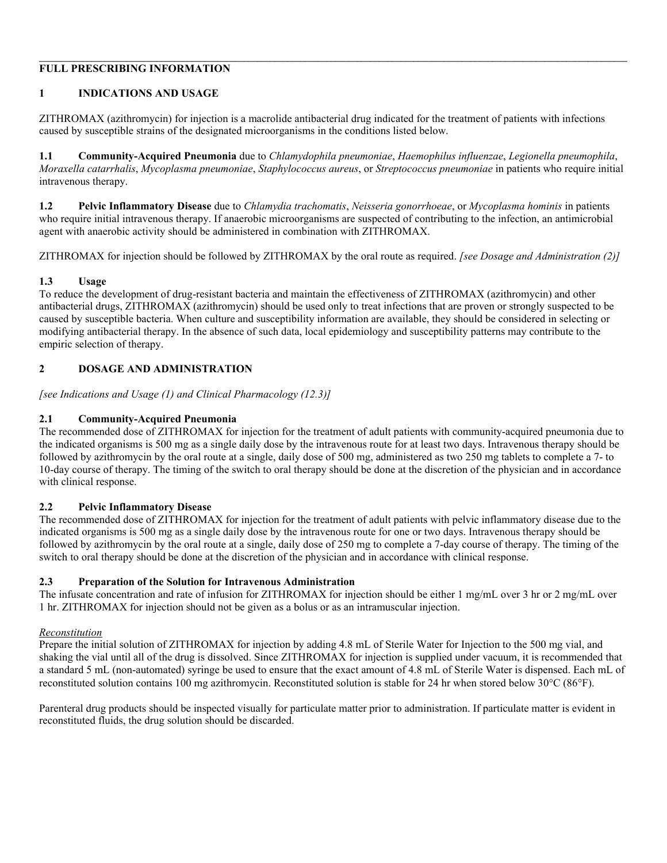# **FULL PRESCRIBING INFORMATION**

# **1 INDICATIONS AND USAGE**

ZITHROMAX (azithromycin) for injection is a macrolide antibacterial drug indicated for the treatment of patients with infections caused by susceptible strains of the designated microorganisms in the conditions listed below.

**1.1 Community-Acquired Pneumonia** due to *Chlamydophila pneumoniae*, *Haemophilus influenzae*, *Legionella pneumophila*, *Moraxella catarrhalis*, *Mycoplasma pneumoniae*, *Staphylococcus aureus*, or *Streptococcus pneumoniae* in patients who require initial intravenous therapy.

 $\mathcal{L} = \{ \mathcal{L} = \{ \mathcal{L} = \{ \mathcal{L} = \{ \mathcal{L} = \{ \mathcal{L} = \{ \mathcal{L} = \{ \mathcal{L} = \{ \mathcal{L} = \{ \mathcal{L} = \{ \mathcal{L} = \{ \mathcal{L} = \{ \mathcal{L} = \{ \mathcal{L} = \{ \mathcal{L} = \{ \mathcal{L} = \{ \mathcal{L} = \{ \mathcal{L} = \{ \mathcal{L} = \{ \mathcal{L} = \{ \mathcal{L} = \{ \mathcal{L} = \{ \mathcal{L} = \{ \mathcal{L} = \{ \mathcal{$ 

**1.2 Pelvic Inflammatory Disease** due to *Chlamydia trachomatis*, *Neisseria gonorrhoeae*, or *Mycoplasma hominis* in patients who require initial intravenous therapy. If anaerobic microorganisms are suspected of contributing to the infection, an antimicrobial agent with anaerobic activity should be administered in combination with ZITHROMAX.

ZITHROMAX for injection should be followed by ZITHROMAX by the oral route as required. *[see Dosage and Administration (2)]*

# **1.3 Usage**

To reduce the development of drug-resistant bacteria and maintain the effectiveness of ZITHROMAX (azithromycin) and other antibacterial drugs, ZITHROMAX (azithromycin) should be used only to treat infections that are proven or strongly suspected to be caused by susceptible bacteria. When culture and susceptibility information are available, they should be considered in selecting or modifying antibacterial therapy. In the absence of such data, local epidemiology and susceptibility patterns may contribute to the empiric selection of therapy.

# **2 DOSAGE AND ADMINISTRATION**

*[see Indications and Usage (1) and Clinical Pharmacology (12.3)]*

# **2.1 Community-Acquired Pneumonia**

The recommended dose of ZITHROMAX for injection for the treatment of adult patients with community-acquired pneumonia due to the indicated organisms is 500 mg as a single daily dose by the intravenous route for at least two days. Intravenous therapy should be followed by azithromycin by the oral route at a single, daily dose of 500 mg, administered as two 250 mg tablets to complete a 7- to 10-day course of therapy. The timing of the switch to oral therapy should be done at the discretion of the physician and in accordance with clinical response.

## **2.2 Pelvic Inflammatory Disease**

The recommended dose of ZITHROMAX for injection for the treatment of adult patients with pelvic inflammatory disease due to the indicated organisms is 500 mg as a single daily dose by the intravenous route for one or two days. Intravenous therapy should be followed by azithromycin by the oral route at a single, daily dose of 250 mg to complete a 7-day course of therapy. The timing of the switch to oral therapy should be done at the discretion of the physician and in accordance with clinical response.

## **2.3 Preparation of the Solution for Intravenous Administration**

The infusate concentration and rate of infusion for ZITHROMAX for injection should be either 1 mg/mL over 3 hr or 2 mg/mL over 1 hr. ZITHROMAX for injection should not be given as a bolus or as an intramuscular injection.

## *Reconstitution*

Prepare the initial solution of ZITHROMAX for injection by adding 4.8 mL of Sterile Water for Injection to the 500 mg vial, and shaking the vial until all of the drug is dissolved. Since ZITHROMAX for injection is supplied under vacuum, it is recommended that a standard 5 mL (non-automated) syringe be used to ensure that the exact amount of 4.8 mL of Sterile Water is dispensed. Each mL of reconstituted solution contains 100 mg azithromycin. Reconstituted solution is stable for 24 hr when stored below  $30^{\circ}C (86^{\circ}F)$ .

Parenteral drug products should be inspected visually for particulate matter prior to administration. If particulate matter is evident in reconstituted fluids, the drug solution should be discarded.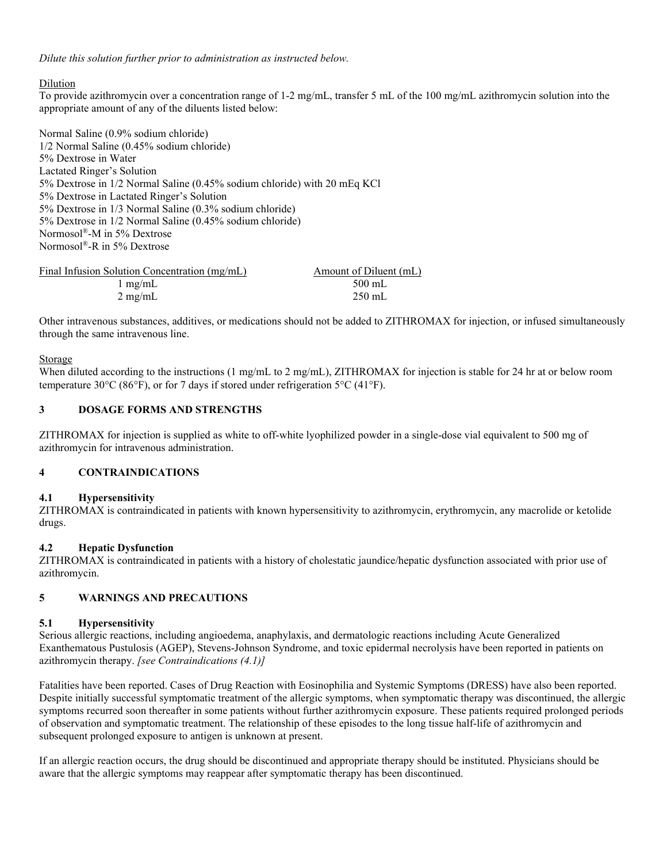*Dilute this solution further prior to administration as instructed below.*

# Dilution

To provide azithromycin over a concentration range of 1-2 mg/mL, transfer 5 mL of the 100 mg/mL azithromycin solution into the appropriate amount of any of the diluents listed below:

Normal Saline (0.9% sodium chloride) 1/2 Normal Saline (0.45% sodium chloride) 5% Dextrose in Water Lactated Ringer's Solution 5% Dextrose in 1/2 Normal Saline (0.45% sodium chloride) with 20 mEq KCl 5% Dextrose in Lactated Ringer's Solution 5% Dextrose in 1/3 Normal Saline (0.3% sodium chloride) 5% Dextrose in 1/2 Normal Saline (0.45% sodium chloride) Normosol®-M in 5% Dextrose Normosol®-R in 5% Dextrose

Final Infusion Solution Concentration (mg/mL)<br>  $1 \text{ mg/mL}$  Amount of Diluent (mL)<br>  $500 \text{ mL}$  $1$  mg/mL  $2 \text{ mg/mL}$   $250 \text{ mL}$ 

Other intravenous substances, additives, or medications should not be added to ZITHROMAX for injection, or infused simultaneously through the same intravenous line.

# Storage

When diluted according to the instructions (1 mg/mL to 2 mg/mL), ZITHROMAX for injection is stable for 24 hr at or below room temperature 30°C (86°F), or for 7 days if stored under refrigeration 5°C (41°F).

# **3 DOSAGE FORMS AND STRENGTHS**

ZITHROMAX for injection is supplied as white to off-white lyophilized powder in a single-dose vial equivalent to 500 mg of azithromycin for intravenous administration.

## **4 CONTRAINDICATIONS**

## **4.1 Hypersensitivity**

ZITHROMAX is contraindicated in patients with known hypersensitivity to azithromycin, erythromycin, any macrolide or ketolide drugs.

## **4.2 Hepatic Dysfunction**

ZITHROMAX is contraindicated in patients with a history of cholestatic jaundice/hepatic dysfunction associated with prior use of azithromycin.

# **5 WARNINGS AND PRECAUTIONS**

## **5.1 Hypersensitivity**

Serious allergic reactions, including angioedema, anaphylaxis, and dermatologic reactions including Acute Generalized Exanthematous Pustulosis (AGEP), Stevens-Johnson Syndrome, and toxic epidermal necrolysis have been reported in patients on azithromycin therapy. *[see Contraindications (4.1)]*

Fatalities have been reported. Cases of Drug Reaction with Eosinophilia and Systemic Symptoms (DRESS) have also been reported. Despite initially successful symptomatic treatment of the allergic symptoms, when symptomatic therapy was discontinued, the allergic symptoms recurred soon thereafter in some patients without further azithromycin exposure. These patients required prolonged periods of observation and symptomatic treatment. The relationship of these episodes to the long tissue half-life of azithromycin and subsequent prolonged exposure to antigen is unknown at present.

If an allergic reaction occurs, the drug should be discontinued and appropriate therapy should be instituted. Physicians should be aware that the allergic symptoms may reappear after symptomatic therapy has been discontinued.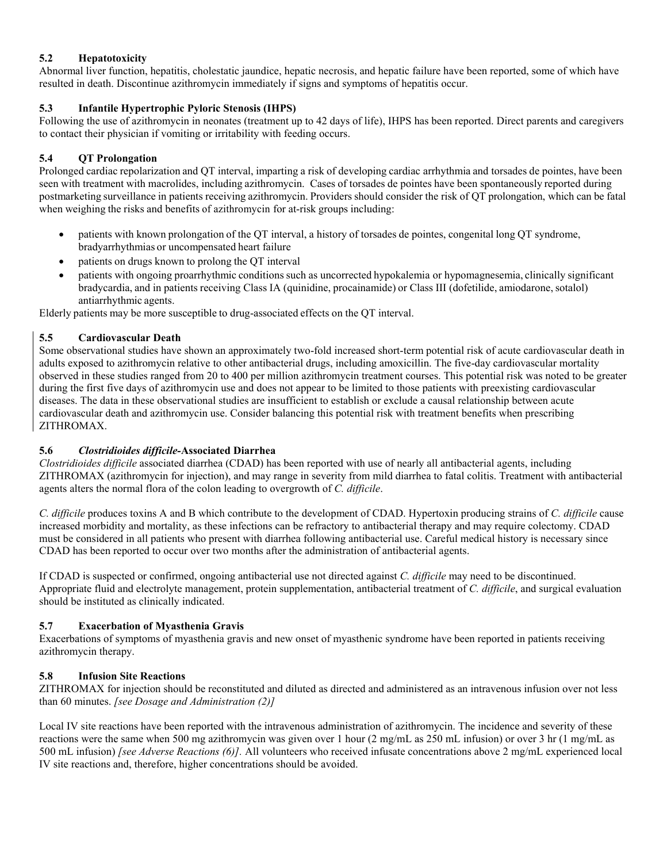# **5.2 Hepatotoxicity**

Abnormal liver function, hepatitis, cholestatic jaundice, hepatic necrosis, and hepatic failure have been reported, some of which have resulted in death. Discontinue azithromycin immediately if signs and symptoms of hepatitis occur.

# **5.3 Infantile Hypertrophic Pyloric Stenosis (IHPS)**

Following the use of azithromycin in neonates (treatment up to 42 days of life), IHPS has been reported. Direct parents and caregivers to contact their physician if vomiting or irritability with feeding occurs.

# **5.4 QT Prolongation**

Prolonged cardiac repolarization and QT interval, imparting a risk of developing cardiac arrhythmia and torsades de pointes, have been seen with treatment with macrolides, including azithromycin. Cases of torsades de pointes have been spontaneously reported during postmarketing surveillance in patients receiving azithromycin. Providers should consider the risk of QT prolongation, which can be fatal when weighing the risks and benefits of azithromycin for at-risk groups including:

- patients with known prolongation of the QT interval, a history of torsades de pointes, congenital long QT syndrome, bradyarrhythmias or uncompensated heart failure
- patients on drugs known to prolong the QT interval
- patients with ongoing proarrhythmic conditions such as uncorrected hypokalemia or hypomagnesemia, clinically significant bradycardia, and in patients receiving Class IA (quinidine, procainamide) or Class III (dofetilide, amiodarone, sotalol) antiarrhythmic agents.

Elderly patients may be more susceptible to drug-associated effects on the QT interval.

# **5.5 Cardiovascular Death**

Some observational studies have shown an approximately two-fold increased short-term potential risk of acute cardiovascular death in adults exposed to azithromycin relative to other antibacterial drugs, including amoxicillin. The five-day cardiovascular mortality observed in these studies ranged from 20 to 400 per million azithromycin treatment courses. This potential risk was noted to be greater during the first five days of azithromycin use and does not appear to be limited to those patients with preexisting cardiovascular diseases. The data in these observational studies are insufficient to establish or exclude a causal relationship between acute cardiovascular death and azithromycin use. Consider balancing this potential risk with treatment benefits when prescribing ZITHROMAX.

# **5.6** *Clostridioides difficile-***Associated Diarrhea**

*Clostridioides difficile* associated diarrhea (CDAD) has been reported with use of nearly all antibacterial agents, including ZITHROMAX (azithromycin for injection), and may range in severity from mild diarrhea to fatal colitis. Treatment with antibacterial agents alters the normal flora of the colon leading to overgrowth of *C. difficile*.

*C. difficile* produces toxins A and B which contribute to the development of CDAD. Hypertoxin producing strains of *C. difficile* cause increased morbidity and mortality, as these infections can be refractory to antibacterial therapy and may require colectomy. CDAD must be considered in all patients who present with diarrhea following antibacterial use. Careful medical history is necessary since CDAD has been reported to occur over two months after the administration of antibacterial agents.

If CDAD is suspected or confirmed, ongoing antibacterial use not directed against *C. difficile* may need to be discontinued. Appropriate fluid and electrolyte management, protein supplementation, antibacterial treatment of *C. difficile*, and surgical evaluation should be instituted as clinically indicated.

# **5.7 Exacerbation of Myasthenia Gravis**

Exacerbations of symptoms of myasthenia gravis and new onset of myasthenic syndrome have been reported in patients receiving azithromycin therapy.

# **5.8 Infusion Site Reactions**

ZITHROMAX for injection should be reconstituted and diluted as directed and administered as an intravenous infusion over not less than 60 minutes. *[see Dosage and Administration (2)]*

Local IV site reactions have been reported with the intravenous administration of azithromycin. The incidence and severity of these reactions were the same when 500 mg azithromycin was given over 1 hour (2 mg/mL as 250 mL infusion) or over 3 hr (1 mg/mL as 500 mL infusion) *[see Adverse Reactions (6)].* All volunteers who received infusate concentrations above 2 mg/mL experienced local IV site reactions and, therefore, higher concentrations should be avoided.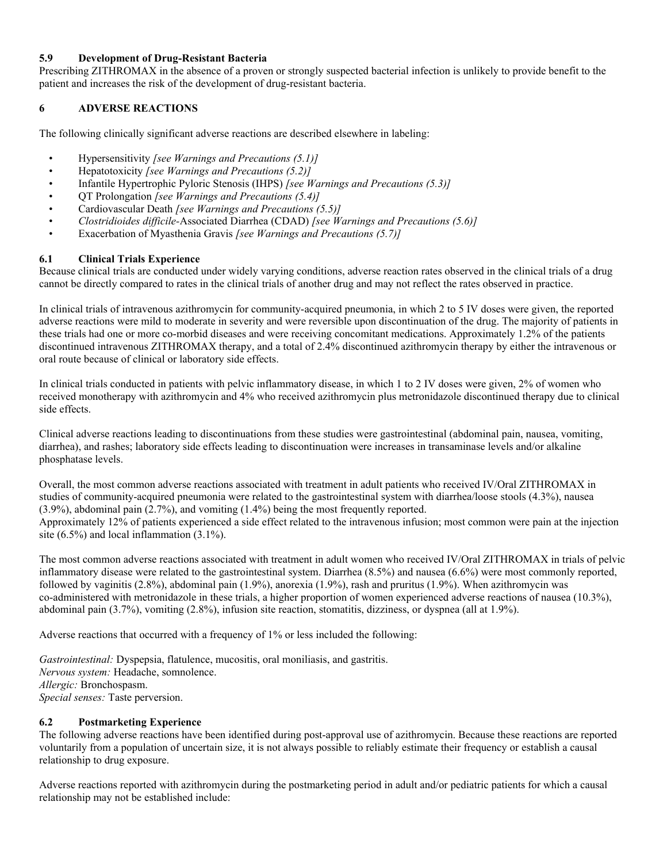## **5.9 Development of Drug-Resistant Bacteria**

Prescribing ZITHROMAX in the absence of a proven or strongly suspected bacterial infection is unlikely to provide benefit to the patient and increases the risk of the development of drug-resistant bacteria.

# **6 ADVERSE REACTIONS**

The following clinically significant adverse reactions are described elsewhere in labeling:

- Hypersensitivity *[see Warnings and Precautions (5.1)]*
- Hepatotoxicity *[see Warnings and Precautions (5.2)]*
- Infantile Hypertrophic Pyloric Stenosis (IHPS) *[see Warnings and Precautions (5.3)]*
- QT Prolongation *[see Warnings and Precautions (5.4)]*
- Cardiovascular Death *[see Warnings and Precautions (5.5)]*
- *Clostridioides difficile-*Associated Diarrhea (CDAD) *[see Warnings and Precautions (5.6)]*
- Exacerbation of Myasthenia Gravis *[see Warnings and Precautions (5.7)]*

# **6.1 Clinical Trials Experience**

Because clinical trials are conducted under widely varying conditions, adverse reaction rates observed in the clinical trials of a drug cannot be directly compared to rates in the clinical trials of another drug and may not reflect the rates observed in practice.

In clinical trials of intravenous azithromycin for community-acquired pneumonia, in which 2 to 5 IV doses were given, the reported adverse reactions were mild to moderate in severity and were reversible upon discontinuation of the drug. The majority of patients in these trials had one or more co-morbid diseases and were receiving concomitant medications. Approximately 1.2% of the patients discontinued intravenous ZITHROMAX therapy, and a total of 2.4% discontinued azithromycin therapy by either the intravenous or oral route because of clinical or laboratory side effects.

In clinical trials conducted in patients with pelvic inflammatory disease, in which 1 to 2 IV doses were given, 2% of women who received monotherapy with azithromycin and 4% who received azithromycin plus metronidazole discontinued therapy due to clinical side effects.

Clinical adverse reactions leading to discontinuations from these studies were gastrointestinal (abdominal pain, nausea, vomiting, diarrhea), and rashes; laboratory side effects leading to discontinuation were increases in transaminase levels and/or alkaline phosphatase levels.

Overall, the most common adverse reactions associated with treatment in adult patients who received IV/Oral ZITHROMAX in studies of community-acquired pneumonia were related to the gastrointestinal system with diarrhea/loose stools (4.3%), nausea (3.9%), abdominal pain (2.7%), and vomiting (1.4%) being the most frequently reported. Approximately 12% of patients experienced a side effect related to the intravenous infusion; most common were pain at the injection site (6.5%) and local inflammation (3.1%).

The most common adverse reactions associated with treatment in adult women who received IV/Oral ZITHROMAX in trials of pelvic inflammatory disease were related to the gastrointestinal system. Diarrhea (8.5%) and nausea (6.6%) were most commonly reported, followed by vaginitis (2.8%), abdominal pain (1.9%), anorexia (1.9%), rash and pruritus (1.9%). When azithromycin was co-administered with metronidazole in these trials, a higher proportion of women experienced adverse reactions of nausea (10.3%), abdominal pain (3.7%), vomiting (2.8%), infusion site reaction, stomatitis, dizziness, or dyspnea (all at 1.9%).

Adverse reactions that occurred with a frequency of 1% or less included the following:

*Gastrointestinal:* Dyspepsia, flatulence, mucositis, oral moniliasis, and gastritis. *Nervous system:* Headache, somnolence. *Allergic:* Bronchospasm. *Special senses:* Taste perversion.

## **6.2 Postmarketing Experience**

The following adverse reactions have been identified during post-approval use of azithromycin. Because these reactions are reported voluntarily from a population of uncertain size, it is not always possible to reliably estimate their frequency or establish a causal relationship to drug exposure.

Adverse reactions reported with azithromycin during the postmarketing period in adult and/or pediatric patients for which a causal relationship may not be established include: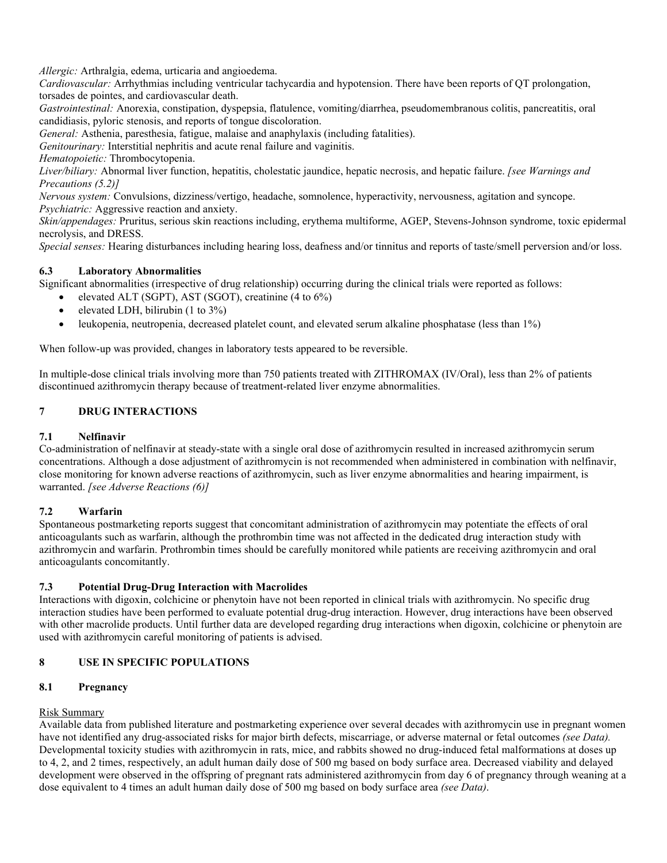*Allergic:* Arthralgia, edema, urticaria and angioedema.

*Cardiovascular:* Arrhythmias including ventricular tachycardia and hypotension. There have been reports of QT prolongation, torsades de pointes, and cardiovascular death.

*Gastrointestinal:* Anorexia, constipation, dyspepsia, flatulence, vomiting/diarrhea, pseudomembranous colitis, pancreatitis, oral candidiasis, pyloric stenosis, and reports of tongue discoloration.

*General:* Asthenia, paresthesia, fatigue, malaise and anaphylaxis (including fatalities).

*Genitourinary:* Interstitial nephritis and acute renal failure and vaginitis.

*Hematopoietic:* Thrombocytopenia.

*Liver/biliary:* Abnormal liver function, hepatitis, cholestatic jaundice, hepatic necrosis, and hepatic failure. *[see Warnings and Precautions (5.2)]*

*Nervous system:* Convulsions, dizziness/vertigo, headache, somnolence, hyperactivity, nervousness, agitation and syncope.

*Psychiatric:* Aggressive reaction and anxiety.

*Skin/appendages:* Pruritus, serious skin reactions including, erythema multiforme, AGEP, Stevens-Johnson syndrome, toxic epidermal necrolysis, and DRESS.

*Special senses:* Hearing disturbances including hearing loss, deafness and/or tinnitus and reports of taste/smell perversion and/or loss.

# **6.3 Laboratory Abnormalities**

Significant abnormalities (irrespective of drug relationship) occurring during the clinical trials were reported as follows:

- elevated ALT (SGPT), AST (SGOT), creatinine (4 to 6%)
- elevated LDH, bilirubin (1 to 3%)
- leukopenia, neutropenia, decreased platelet count, and elevated serum alkaline phosphatase (less than 1%)

When follow-up was provided, changes in laboratory tests appeared to be reversible.

In multiple-dose clinical trials involving more than 750 patients treated with ZITHROMAX (IV/Oral), less than 2% of patients discontinued azithromycin therapy because of treatment-related liver enzyme abnormalities.

# **7 DRUG INTERACTIONS**

# **7.1 Nelfinavir**

Co-administration of nelfinavir at steady-state with a single oral dose of azithromycin resulted in increased azithromycin serum concentrations. Although a dose adjustment of azithromycin is not recommended when administered in combination with nelfinavir, close monitoring for known adverse reactions of azithromycin, such as liver enzyme abnormalities and hearing impairment, is warranted. *[see Adverse Reactions (6)]*

# **7.2 Warfarin**

Spontaneous postmarketing reports suggest that concomitant administration of azithromycin may potentiate the effects of oral anticoagulants such as warfarin, although the prothrombin time was not affected in the dedicated drug interaction study with azithromycin and warfarin. Prothrombin times should be carefully monitored while patients are receiving azithromycin and oral anticoagulants concomitantly.

# **7.3 Potential Drug-Drug Interaction with Macrolides**

Interactions with digoxin, colchicine or phenytoin have not been reported in clinical trials with azithromycin. No specific drug interaction studies have been performed to evaluate potential drug-drug interaction. However, drug interactions have been observed with other macrolide products. Until further data are developed regarding drug interactions when digoxin, colchicine or phenytoin are used with azithromycin careful monitoring of patients is advised.

# **8 USE IN SPECIFIC POPULATIONS**

# **8.1 Pregnancy**

# Risk Summary

Available data from published literature and postmarketing experience over several decades with azithromycin use in pregnant women have not identified any drug-associated risks for major birth defects, miscarriage, or adverse maternal or fetal outcomes *(see Data).*  Developmental toxicity studies with azithromycin in rats, mice, and rabbits showed no drug-induced fetal malformations at doses up to 4, 2, and 2 times, respectively, an adult human daily dose of 500 mg based on body surface area. Decreased viability and delayed development were observed in the offspring of pregnant rats administered azithromycin from day 6 of pregnancy through weaning at a dose equivalent to 4 times an adult human daily dose of 500 mg based on body surface area *(see Data)*.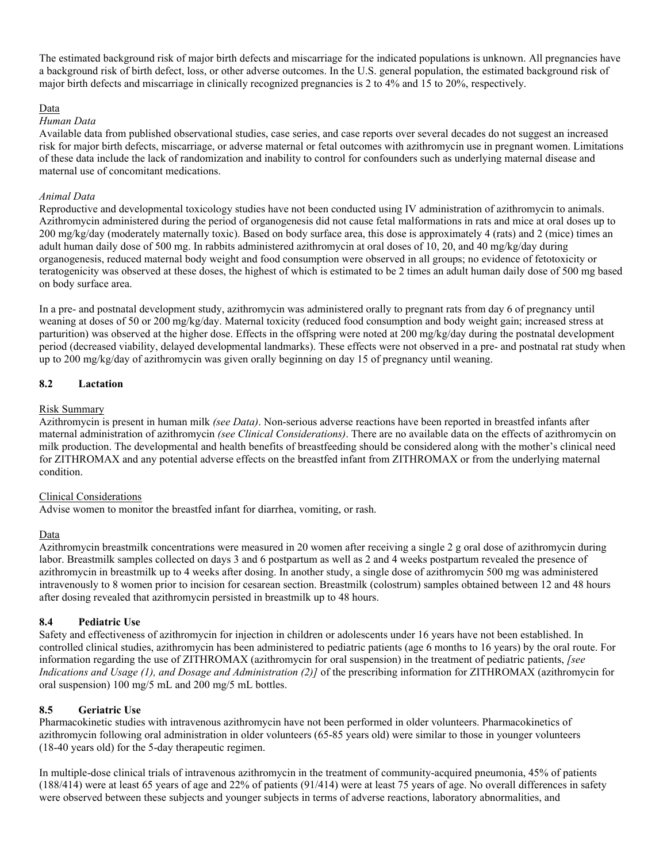The estimated background risk of major birth defects and miscarriage for the indicated populations is unknown. All pregnancies have a background risk of birth defect, loss, or other adverse outcomes. In the U.S. general population, the estimated background risk of major birth defects and miscarriage in clinically recognized pregnancies is 2 to 4% and 15 to 20%, respectively.

#### Data

#### *Human Data*

Available data from published observational studies, case series, and case reports over several decades do not suggest an increased risk for major birth defects, miscarriage, or adverse maternal or fetal outcomes with azithromycin use in pregnant women. Limitations of these data include the lack of randomization and inability to control for confounders such as underlying maternal disease and maternal use of concomitant medications.

#### *Animal Data*

Reproductive and developmental toxicology studies have not been conducted using IV administration of azithromycin to animals. Azithromycin administered during the period of organogenesis did not cause fetal malformations in rats and mice at oral doses up to 200 mg/kg/day (moderately maternally toxic). Based on body surface area, this dose is approximately 4 (rats) and 2 (mice) times an adult human daily dose of 500 mg. In rabbits administered azithromycin at oral doses of 10, 20, and 40 mg/kg/day during organogenesis, reduced maternal body weight and food consumption were observed in all groups; no evidence of fetotoxicity or teratogenicity was observed at these doses, the highest of which is estimated to be 2 times an adult human daily dose of 500 mg based on body surface area.

In a pre- and postnatal development study, azithromycin was administered orally to pregnant rats from day 6 of pregnancy until weaning at doses of 50 or 200 mg/kg/day. Maternal toxicity (reduced food consumption and body weight gain; increased stress at parturition) was observed at the higher dose. Effects in the offspring were noted at 200 mg/kg/day during the postnatal development period (decreased viability, delayed developmental landmarks). These effects were not observed in a pre- and postnatal rat study when up to 200 mg/kg/day of azithromycin was given orally beginning on day 15 of pregnancy until weaning.

### **8.2 Lactation**

#### Risk Summary

Azithromycin is present in human milk *(see Data)*. Non-serious adverse reactions have been reported in breastfed infants after maternal administration of azithromycin *(see Clinical Considerations)*. There are no available data on the effects of azithromycin on milk production. The developmental and health benefits of breastfeeding should be considered along with the mother's clinical need for ZITHROMAX and any potential adverse effects on the breastfed infant from ZITHROMAX or from the underlying maternal condition.

#### Clinical Considerations

Advise women to monitor the breastfed infant for diarrhea, vomiting, or rash.

#### Data

Azithromycin breastmilk concentrations were measured in 20 women after receiving a single 2 g oral dose of azithromycin during labor. Breastmilk samples collected on days 3 and 6 postpartum as well as 2 and 4 weeks postpartum revealed the presence of azithromycin in breastmilk up to 4 weeks after dosing. In another study, a single dose of azithromycin 500 mg was administered intravenously to 8 women prior to incision for cesarean section. Breastmilk (colostrum) samples obtained between 12 and 48 hours after dosing revealed that azithromycin persisted in breastmilk up to 48 hours.

#### **8.4 Pediatric Use**

Safety and effectiveness of azithromycin for injection in children or adolescents under 16 years have not been established. In controlled clinical studies, azithromycin has been administered to pediatric patients (age 6 months to 16 years) by the oral route. For information regarding the use of ZITHROMAX (azithromycin for oral suspension) in the treatment of pediatric patients, *[see Indications and Usage (1), and Dosage and Administration (2)]* of the prescribing information for ZITHROMAX (azithromycin for oral suspension) 100 mg/5 mL and 200 mg/5 mL bottles.

## **8.5 Geriatric Use**

Pharmacokinetic studies with intravenous azithromycin have not been performed in older volunteers. Pharmacokinetics of azithromycin following oral administration in older volunteers (65-85 years old) were similar to those in younger volunteers (18-40 years old) for the 5-day therapeutic regimen.

In multiple-dose clinical trials of intravenous azithromycin in the treatment of community-acquired pneumonia, 45% of patients (188/414) were at least 65 years of age and 22% of patients (91/414) were at least 75 years of age. No overall differences in safety were observed between these subjects and younger subjects in terms of adverse reactions, laboratory abnormalities, and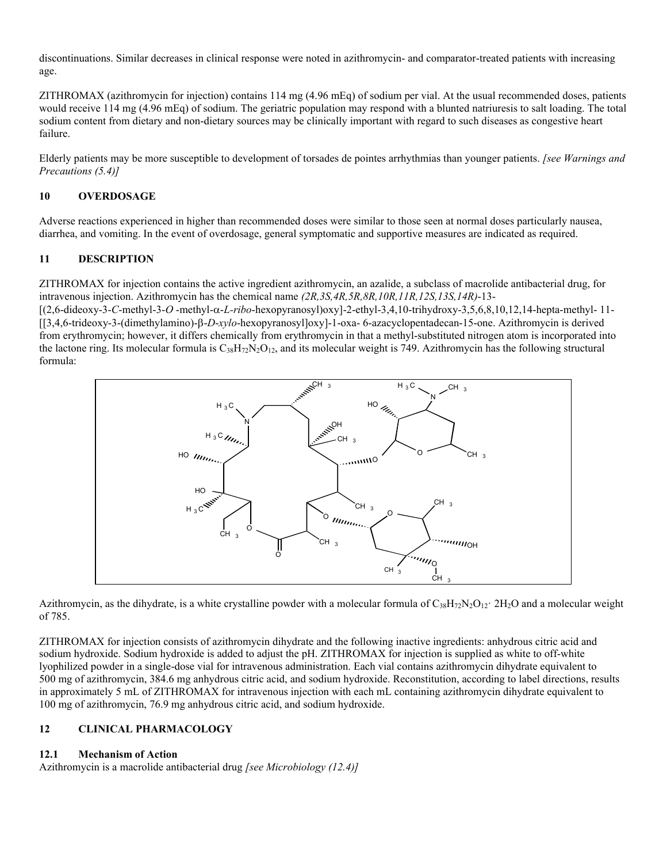discontinuations. Similar decreases in clinical response were noted in azithromycin- and comparator-treated patients with increasing age.

ZITHROMAX (azithromycin for injection) contains 114 mg (4.96 mEq) of sodium per vial. At the usual recommended doses, patients would receive 114 mg (4.96 mEq) of sodium. The geriatric population may respond with a blunted natriuresis to salt loading. The total sodium content from dietary and non-dietary sources may be clinically important with regard to such diseases as congestive heart failure.

Elderly patients may be more susceptible to development of torsades de pointes arrhythmias than younger patients. *[see Warnings and Precautions (5.4)]*

## **10 OVERDOSAGE**

Adverse reactions experienced in higher than recommended doses were similar to those seen at normal doses particularly nausea, diarrhea, and vomiting. In the event of overdosage, general symptomatic and supportive measures are indicated as required.

# **11 DESCRIPTION**

ZITHROMAX for injection contains the active ingredient azithromycin, an azalide, a subclass of macrolide antibacterial drug, for intravenous injection. Azithromycin has the chemical name *(2R,3S,4R,5R,8R,10R,11R,12S,13S,14R)*-13-

 $[(2,6-\text{dideoxy-3}-C-\text{methyl-3}-O-\text{methyl-}\alpha-L-ribo-\text{hexopyranosyl})oxy]-2-\text{ethyl-3},4,10-\text{tribydroxy-3},5,6,8,10,12,14-\text{hepta-methyl-11}-O-\text{Hyl}-O,-O-\text{Hyl}-O,-O-\text{Hyl}-O,-O-\text{Hyl}-O-\text{Hyl}-O-\text{Hyl}-O-\text{Hyl}-O-\text{Hyl}-O-\text{Hyl}-O-\text{Hyl}-O-\text{Hyl}-O-\text{Hyl}-O-\text{Hyl}-O-\text{Hyl}-O-\text{Hyl}-O-\text{Hyl}-O-\text{Hyl}-O$ [[3,4,6-trideoxy-3-(dimethylamino)-β-*D-xylo*-hexopyranosyl]oxy]-1-oxa- 6-azacyclopentadecan-15-one. Azithromycin is derived from erythromycin; however, it differs chemically from erythromycin in that a methyl-substituted nitrogen atom is incorporated into the lactone ring. Its molecular formula is  $C_{38}H_{72}N_2O_{12}$ , and its molecular weight is 749. Azithromycin has the following structural formula:



Azithromycin, as the dihydrate, is a white crystalline powder with a molecular formula of  $C_{38}H_{72}N_2O_{12}$   $2H_2O$  and a molecular weight of 785.

ZITHROMAX for injection consists of azithromycin dihydrate and the following inactive ingredients: anhydrous citric acid and sodium hydroxide. Sodium hydroxide is added to adjust the pH. ZITHROMAX for injection is supplied as white to off-white lyophilized powder in a single-dose vial for intravenous administration. Each vial contains azithromycin dihydrate equivalent to 500 mg of azithromycin, 384.6 mg anhydrous citric acid, and sodium hydroxide. Reconstitution, according to label directions, results in approximately 5 mL of ZITHROMAX for intravenous injection with each mL containing azithromycin dihydrate equivalent to 100 mg of azithromycin, 76.9 mg anhydrous citric acid, and sodium hydroxide.

## **12 CLINICAL PHARMACOLOGY**

## **12.1 Mechanism of Action**

Azithromycin is a macrolide antibacterial drug *[see Microbiology (12.4)]*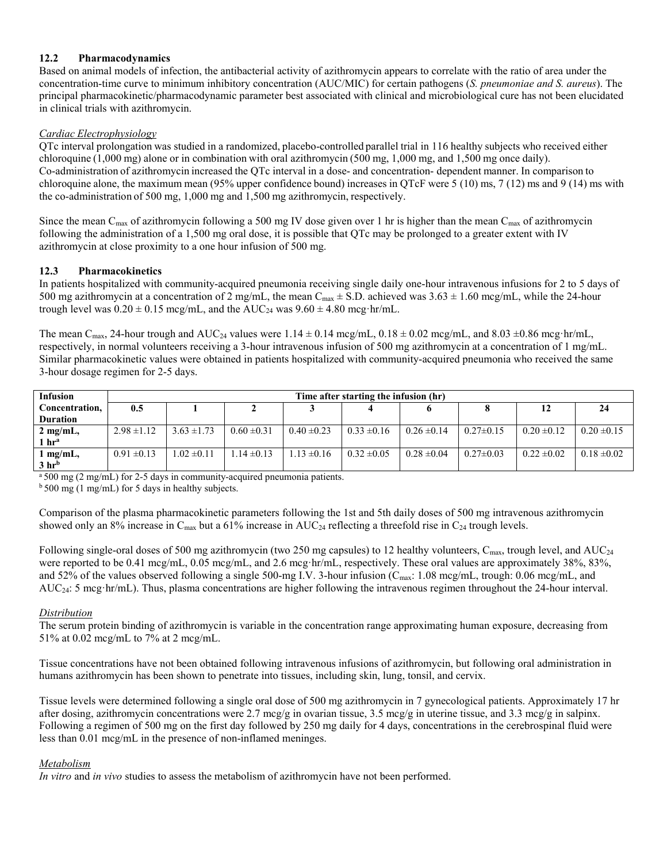# **12.2 Pharmacodynamics**

Based on animal models of infection, the antibacterial activity of azithromycin appears to correlate with the ratio of area under the concentration-time curve to minimum inhibitory concentration (AUC/MIC) for certain pathogens (*S. pneumoniae and S. aureus*). The principal pharmacokinetic/pharmacodynamic parameter best associated with clinical and microbiological cure has not been elucidated in clinical trials with azithromycin.

# *Cardiac Electrophysiology*

QTc interval prolongation was studied in a randomized, placebo-controlled parallel trial in 116 healthy subjects who received either chloroquine (1,000 mg) alone or in combination with oral azithromycin (500 mg, 1,000 mg, and 1,500 mg once daily). Co-administration of azithromycin increased the QTc interval in a dose- and concentration- dependent manner. In comparison to chloroquine alone, the maximum mean (95% upper confidence bound) increases in QTcF were 5 (10) ms, 7 (12) ms and 9 (14) ms with the co-administration of 500 mg, 1,000 mg and 1,500 mg azithromycin, respectively.

Since the mean C<sub>max</sub> of azithromycin following a 500 mg IV dose given over 1 hr is higher than the mean C<sub>max</sub> of azithromycin following the administration of a 1,500 mg oral dose, it is possible that QTc may be prolonged to a greater extent with IV azithromycin at close proximity to a one hour infusion of 500 mg.

# **12.3 Pharmacokinetics**

In patients hospitalized with community-acquired pneumonia receiving single daily one-hour intravenous infusions for 2 to 5 days of 500 mg azithromycin at a concentration of 2 mg/mL, the mean  $C_{\text{max}} \pm S.D$ . achieved was  $3.63 \pm 1.60$  mcg/mL, while the 24-hour trough level was  $0.20 \pm 0.15$  mcg/mL, and the AUC<sub>24</sub> was  $9.60 \pm 4.80$  mcg·hr/mL.

The mean C<sub>max</sub>, 24-hour trough and AUC<sub>24</sub> values were  $1.14 \pm 0.14$  mcg/mL,  $0.18 \pm 0.02$  mcg/mL, and  $8.03 \pm 0.86$  mcg·hr/mL, respectively, in normal volunteers receiving a 3-hour intravenous infusion of 500 mg azithromycin at a concentration of 1 mg/mL. Similar pharmacokinetic values were obtained in patients hospitalized with community-acquired pneumonia who received the same 3-hour dosage regimen for 2-5 days.

| <b>Infusion</b>     | Time after starting the infusion (hr) |                 |                 |                 |                 |                 |                 |                 |                 |
|---------------------|---------------------------------------|-----------------|-----------------|-----------------|-----------------|-----------------|-----------------|-----------------|-----------------|
| Concentration,      | 0.5                                   |                 |                 |                 |                 |                 |                 | 12              |                 |
| <b>Duration</b>     |                                       |                 |                 |                 |                 |                 |                 |                 |                 |
| $2 \text{ mg/mL}$ , | $2.98 \pm 1.12$                       | $3.63 \pm 1.73$ | $0.60 \pm 0.31$ | $0.40 \pm 0.23$ | $0.33 \pm 0.16$ | $0.26 \pm 0.14$ | $0.27 \pm 0.15$ | $0.20 \pm 0.12$ | $0.20 \pm 0.15$ |
| 1 hr <sup>a</sup>   |                                       |                 |                 |                 |                 |                 |                 |                 |                 |
| $1$ mg/mL,          | $0.91 \pm 0.13$                       | $1.02 \pm 0.11$ | $1.14 \pm 0.13$ | $1.13 \pm 0.16$ | $0.32 \pm 0.05$ | $0.28 \pm 0.04$ | $0.27 \pm 0.03$ | $0.22 \pm 0.02$ | $0.18 \pm 0.02$ |
| 3 <sup>h</sup>      |                                       |                 |                 |                 |                 |                 |                 |                 |                 |

<sup>a</sup> 500 mg (2 mg/mL) for 2-5 days in community-acquired pneumonia patients.

 $b$  500 mg (1 mg/mL) for 5 days in healthy subjects.

Comparison of the plasma pharmacokinetic parameters following the 1st and 5th daily doses of 500 mg intravenous azithromycin showed only an 8% increase in  $C_{\text{max}}$  but a 61% increase in AUC<sub>24</sub> reflecting a threefold rise in  $C_{24}$  trough levels.

Following single-oral doses of 500 mg azithromycin (two 250 mg capsules) to 12 healthy volunteers, C<sub>max</sub>, trough level, and AUC<sub>24</sub> were reported to be 0.41 mcg/mL, 0.05 mcg/mL, and 2.6 mcg·hr/mL, respectively. These oral values are approximately 38%, 83%, and 52% of the values observed following a single 500-mg I.V. 3-hour infusion (C<sub>max</sub>: 1.08 mcg/mL, trough: 0.06 mcg/mL, and AUC24: 5 mcg·hr/mL). Thus, plasma concentrations are higher following the intravenous regimen throughout the 24-hour interval.

## *Distribution*

The serum protein binding of azithromycin is variable in the concentration range approximating human exposure, decreasing from 51% at 0.02 mcg/mL to 7% at 2 mcg/mL.

Tissue concentrations have not been obtained following intravenous infusions of azithromycin, but following oral administration in humans azithromycin has been shown to penetrate into tissues, including skin, lung, tonsil, and cervix.

Tissue levels were determined following a single oral dose of 500 mg azithromycin in 7 gynecological patients. Approximately 17 hr after dosing, azithromycin concentrations were 2.7 mcg/g in ovarian tissue, 3.5 mcg/g in uterine tissue, and 3.3 mcg/g in salpinx. Following a regimen of 500 mg on the first day followed by 250 mg daily for 4 days, concentrations in the cerebrospinal fluid were less than 0.01 mcg/mL in the presence of non-inflamed meninges.

## *Metabolism*

*In vitro* and *in vivo* studies to assess the metabolism of azithromycin have not been performed.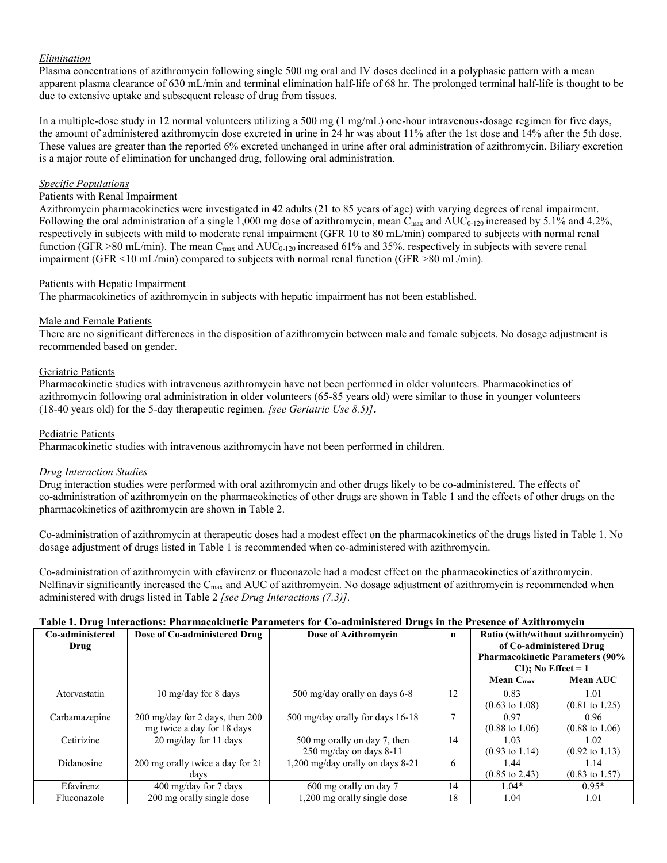### *Elimination*

Plasma concentrations of azithromycin following single 500 mg oral and IV doses declined in a polyphasic pattern with a mean apparent plasma clearance of 630 mL/min and terminal elimination half-life of 68 hr. The prolonged terminal half-life is thought to be due to extensive uptake and subsequent release of drug from tissues.

In a multiple-dose study in 12 normal volunteers utilizing a 500 mg (1 mg/mL) one-hour intravenous-dosage regimen for five days, the amount of administered azithromycin dose excreted in urine in 24 hr was about 11% after the 1st dose and 14% after the 5th dose. These values are greater than the reported 6% excreted unchanged in urine after oral administration of azithromycin. Biliary excretion is a major route of elimination for unchanged drug, following oral administration.

#### *Specific Populations*

### Patients with Renal Impairment

Azithromycin pharmacokinetics were investigated in 42 adults (21 to 85 years of age) with varying degrees of renal impairment. Following the oral administration of a single 1,000 mg dose of azithromycin, mean  $C_{\text{max}}$  and  $AUC_{0-120}$  increased by 5.1% and 4.2%, respectively in subjects with mild to moderate renal impairment (GFR 10 to 80 mL/min) compared to subjects with normal renal function (GFR >80 mL/min). The mean  $C_{\text{max}}$  and  $AUC_{0-120}$  increased 61% and 35%, respectively in subjects with severe renal impairment (GFR <10 mL/min) compared to subjects with normal renal function (GFR >80 mL/min).

### Patients with Hepatic Impairment

The pharmacokinetics of azithromycin in subjects with hepatic impairment has not been established.

### Male and Female Patients

There are no significant differences in the disposition of azithromycin between male and female subjects. No dosage adjustment is recommended based on gender.

### Geriatric Patients

Pharmacokinetic studies with intravenous azithromycin have not been performed in older volunteers. Pharmacokinetics of azithromycin following oral administration in older volunteers (65-85 years old) were similar to those in younger volunteers (18-40 years old) for the 5-day therapeutic regimen. *[see Geriatric Use 8.5)]***.**

#### Pediatric Patients

Pharmacokinetic studies with intravenous azithromycin have not been performed in children.

#### *Drug Interaction Studies*

Drug interaction studies were performed with oral azithromycin and other drugs likely to be co-administered. The effects of co-administration of azithromycin on the pharmacokinetics of other drugs are shown in Table 1 and the effects of other drugs on the pharmacokinetics of azithromycin are shown in Table 2.

Co-administration of azithromycin at therapeutic doses had a modest effect on the pharmacokinetics of the drugs listed in Table 1. No dosage adjustment of drugs listed in Table 1 is recommended when co-administered with azithromycin.

Co-administration of azithromycin with efavirenz or fluconazole had a modest effect on the pharmacokinetics of azithromycin. Nelfinavir significantly increased the  $C_{\text{max}}$  and AUC of azithromycin. No dosage adjustment of azithromycin is recommended when administered with drugs listed in Table 2 *[see Drug Interactions (7.3)].*

### **Table 1. Drug Interactions: Pharmacokinetic Parameters for Co-administered Drugs in the Presence of Azithromycin**

| Co-administered<br>Drug | Dose of Co-administered Drug     | Dose of Azithromycin             | $\mathbf n$ | Ratio (with/without azithromycin)<br>of Co-administered Drug<br><b>Pharmacokinetic Parameters (90%</b><br>$CI$ ); No Effect = 1 |                           |
|-------------------------|----------------------------------|----------------------------------|-------------|---------------------------------------------------------------------------------------------------------------------------------|---------------------------|
|                         |                                  |                                  |             | Mean $C_{\text{max}}$                                                                                                           | <b>Mean AUC</b>           |
| Atorvastatin            | 10 mg/day for 8 days             | 500 mg/day orally on days 6-8    | 12          | 0.83                                                                                                                            | 1.01                      |
|                         |                                  |                                  |             | $(0.63 \text{ to } 1.08)$                                                                                                       | $(0.81 \text{ to } 1.25)$ |
| Carbamazepine           | 200 mg/day for 2 days, then 200  | 500 mg/day orally for days 16-18 | 7           | 0.97                                                                                                                            | 0.96                      |
|                         | mg twice a day for 18 days       |                                  |             | $(0.88 \text{ to } 1.06)$                                                                                                       | $(0.88 \text{ to } 1.06)$ |
| Cetirizine              | 20 mg/day for 11 days            | 500 mg orally on day 7, then     | 14          | 1.03                                                                                                                            | 1.02                      |
|                         |                                  | $250$ mg/day on days 8-11        |             | $(0.93 \text{ to } 1.14)$                                                                                                       | $(0.92 \text{ to } 1.13)$ |
| Didanosine              | 200 mg orally twice a day for 21 | 1,200 mg/day orally on days 8-21 | 6           | 1.44                                                                                                                            | 1.14                      |
|                         | days                             |                                  |             | $(0.85 \text{ to } 2.43)$                                                                                                       | $(0.83 \text{ to } 1.57)$ |
| Efavirenz               | $400 \text{ mg/day}$ for 7 days  | 600 mg orally on day 7           | 14          | $1.04*$                                                                                                                         | $0.95*$                   |
| Fluconazole             | 200 mg orally single dose        | 1,200 mg orally single dose      | 18          | 1.04                                                                                                                            | 1.01                      |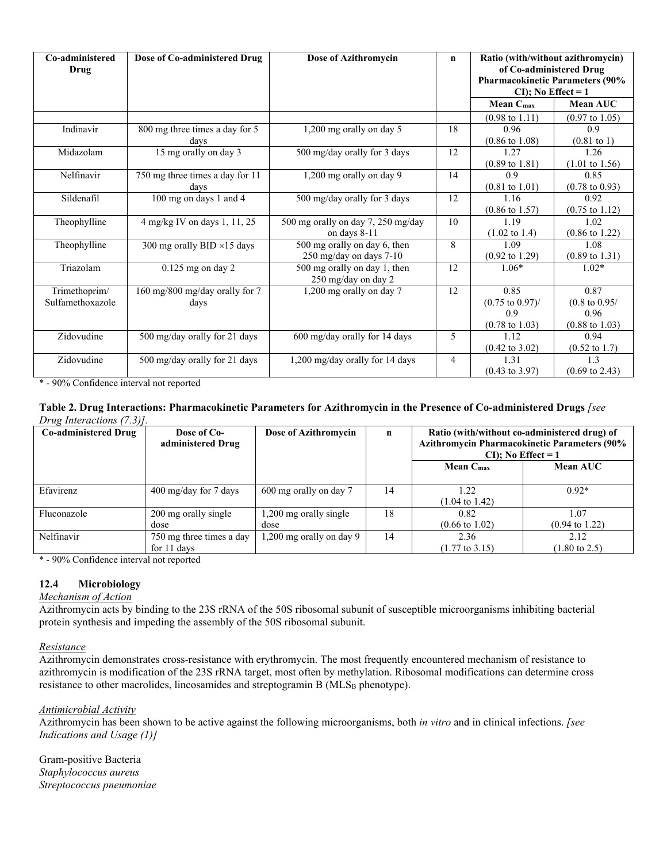| Co-administered<br>Drug | Dose of Co-administered Drug       | Dose of Azithromycin               | $\mathbf n$    | Ratio (with/without azithromycin)<br>of Co-administered Drug<br><b>Pharmacokinetic Parameters (90%</b><br>$CI$ ); No Effect = 1 |                           |
|-------------------------|------------------------------------|------------------------------------|----------------|---------------------------------------------------------------------------------------------------------------------------------|---------------------------|
|                         |                                    |                                    |                | Mean C <sub>max</sub>                                                                                                           | Mean AUC                  |
|                         |                                    |                                    |                | $(0.98 \text{ to } 1.11)$                                                                                                       | $(0.97 \text{ to } 1.05)$ |
| Indinavir               | 800 mg three times a day for 5     | 1,200 mg orally on day 5           | 18             | 0.96                                                                                                                            | 0.9                       |
|                         | days                               |                                    |                | $(0.86 \text{ to } 1.08)$                                                                                                       | $(0.81 \text{ to } 1)$    |
| Midazolam               | 15 mg orally on day 3              | 500 mg/day orally for 3 days       | 12             | 1.27                                                                                                                            | 1.26                      |
|                         |                                    |                                    |                | $(0.89 \text{ to } 1.81)$                                                                                                       | $(1.01 \text{ to } 1.56)$ |
| Nelfinavir              | 750 mg three times a day for 11    | 1,200 mg orally on day 9           | 14             | 0.9                                                                                                                             | 0.85                      |
|                         | davs                               |                                    |                | $(0.81 \text{ to } 1.01)$                                                                                                       | $(0.78 \text{ to } 0.93)$ |
| Sildenafil              | 100 mg on days 1 and 4             | 500 mg/day orally for 3 days       | 12             | 1.16                                                                                                                            | 0.92                      |
|                         |                                    |                                    |                | $(0.86 \text{ to } 1.57)$                                                                                                       | $(0.75 \text{ to } 1.12)$ |
| Theophylline            | 4 mg/kg IV on days 1, 11, 25       | 500 mg orally on day 7, 250 mg/day | 10             | 1.19                                                                                                                            | 1.02                      |
|                         |                                    | on days 8-11                       |                | $(1.02 \text{ to } 1.4)$                                                                                                        | $(0.86 \text{ to } 1.22)$ |
| Theophylline            | 300 mg orally BID $\times$ 15 days | 500 mg orally on day 6, then       | 8              | 1.09                                                                                                                            | 1.08                      |
|                         |                                    | 250 mg/day on days 7-10            |                | $(0.92 \text{ to } 1.29)$                                                                                                       | $(0.89 \text{ to } 1.31)$ |
| Triazolam               | $0.125$ mg on day $2$              | 500 mg orally on day 1, then       | 12             | $1.06*$                                                                                                                         | $1.02*$                   |
|                         |                                    | 250 mg/day on day 2                |                |                                                                                                                                 |                           |
| Trimethoprim/           | 160 mg/800 mg/day orally for 7     | 1,200 mg orally on day 7           | 12             | 0.85                                                                                                                            | 0.87                      |
| Sulfamethoxazole        | days                               |                                    |                | $(0.75 \text{ to } 0.97)$ /                                                                                                     | $(0.8 \text{ to } 0.95)$  |
|                         |                                    |                                    |                | 0.9                                                                                                                             | 0.96                      |
|                         |                                    |                                    |                | $(0.78 \text{ to } 1.03)$                                                                                                       | $(0.88 \text{ to } 1.03)$ |
| Zidovudine              | 500 mg/day orally for 21 days      | 600 mg/day orally for 14 days      | 5              | 1.12                                                                                                                            | 0.94                      |
|                         |                                    |                                    |                | $(0.42 \text{ to } 3.02)$                                                                                                       | $(0.52 \text{ to } 1.7)$  |
| Zidovudine              | 500 mg/day orally for 21 days      | 1,200 mg/day orally for 14 days    | $\overline{4}$ | 1.31                                                                                                                            | 1.3                       |
|                         |                                    |                                    |                | $(0.43 \text{ to } 3.97)$                                                                                                       | $(0.69 \text{ to } 2.43)$ |

\* - 90% Confidence interval not reported

## **Table 2. Drug Interactions: Pharmacokinetic Parameters for Azithromycin in the Presence of Co-administered Drugs** *[see Drug Interactions (7.3)].*

| <b>Co-administered Drug</b> | Dose of Co-<br>administered Drug        | Dose of Azithromycin           | $\mathbf n$ | Ratio (with/without co-administered drug) of<br>Azithromycin Pharmacokinetic Parameters (90%<br>$CI$ : No Effect = 1 |                                   |
|-----------------------------|-----------------------------------------|--------------------------------|-------------|----------------------------------------------------------------------------------------------------------------------|-----------------------------------|
|                             |                                         |                                |             | Mean C <sub>max</sub>                                                                                                | <b>Mean AUC</b>                   |
| Efavirenz                   | $400 \text{ mg/day}$ for 7 days         | 600 mg orally on day 7         | 14          | 1.22<br>$(1.04 \text{ to } 1.42)$                                                                                    | $0.92*$                           |
| Fluconazole                 | 200 mg orally single<br>dose            | 1,200 mg orally single<br>dose | 18          | 0.82<br>$(0.66 \text{ to } 1.02)$                                                                                    | 1.07<br>$(0.94 \text{ to } 1.22)$ |
| <b>Nelfinavir</b>           | 750 mg three times a day<br>for 11 days | 1,200 mg orally on day 9       | 14          | 2.36<br>$(1.77 \text{ to } 3.15)$                                                                                    | 2.12<br>$(1.80 \text{ to } 2.5)$  |

\* - 90% Confidence interval not reported

# **12.4 Microbiology**

### *Mechanism of Action*

Azithromycin acts by binding to the 23S rRNA of the 50S ribosomal subunit of susceptible microorganisms inhibiting bacterial protein synthesis and impeding the assembly of the 50S ribosomal subunit.

*Resistance*

Azithromycin demonstrates cross-resistance with erythromycin. The most frequently encountered mechanism of resistance to azithromycin is modification of the 23S rRNA target, most often by methylation. Ribosomal modifications can determine cross resistance to other macrolides, lincosamides and streptogramin  $B(MLS_B)$  phenotype).

### *Antimicrobial Activity*

Azithromycin has been shown to be active against the following microorganisms, both *in vitro* and in clinical infections. *[see Indications and Usage (1)]*

Gram-positive Bacteria *Staphylococcus aureus Streptococcus pneumoniae*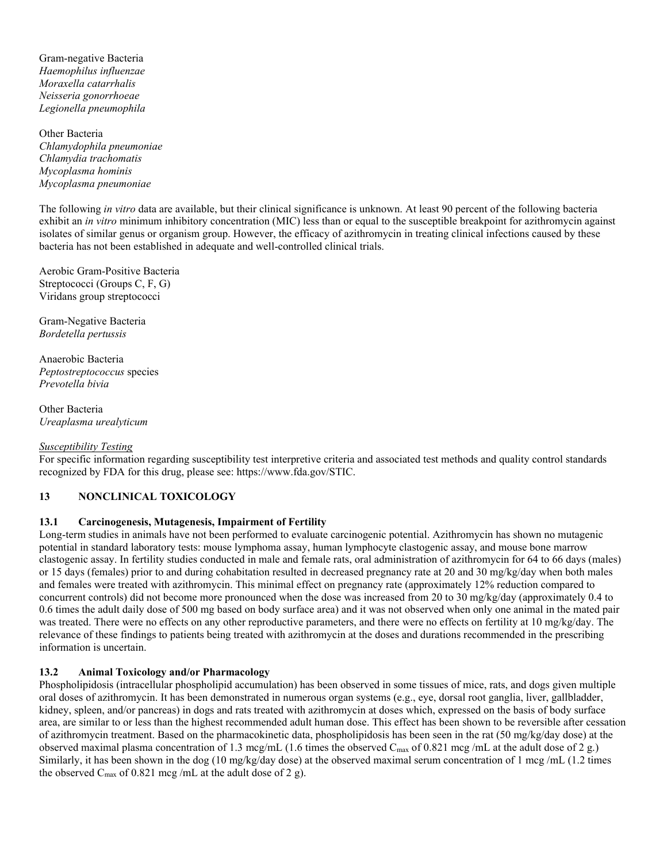Gram-negative Bacteria *Haemophilus influenzae Moraxella catarrhalis Neisseria gonorrhoeae Legionella pneumophila*

Other Bacteria *Chlamydophila pneumoniae Chlamydia trachomatis Mycoplasma hominis Mycoplasma pneumoniae*

The following *in vitro* data are available, but their clinical significance is unknown. At least 90 percent of the following bacteria exhibit an *in vitro* minimum inhibitory concentration (MIC) less than or equal to the susceptible breakpoint for azithromycin against isolates of similar genus or organism group. However, the efficacy of azithromycin in treating clinical infections caused by these bacteria has not been established in adequate and well-controlled clinical trials.

Aerobic Gram-Positive Bacteria Streptococci (Groups C, F, G) Viridans group streptococci

Gram-Negative Bacteria *Bordetella pertussis*

Anaerobic Bacteria *Peptostreptococcus* species *Prevotella bivia*

Other Bacteria *Ureaplasma urealyticum*

## *Susceptibility Testing*

For specific information regarding susceptibility test interpretive criteria and associated test methods and quality control standards recognized by FDA for this drug, please see: https://www.fda.gov/STIC.

## **13 NONCLINICAL TOXICOLOGY**

## **13.1 Carcinogenesis, Mutagenesis, Impairment of Fertility**

Long-term studies in animals have not been performed to evaluate carcinogenic potential. Azithromycin has shown no mutagenic potential in standard laboratory tests: mouse lymphoma assay, human lymphocyte clastogenic assay, and mouse bone marrow clastogenic assay. In fertility studies conducted in male and female rats, oral administration of azithromycin for 64 to 66 days (males) or 15 days (females) prior to and during cohabitation resulted in decreased pregnancy rate at 20 and 30 mg/kg/day when both males and females were treated with azithromycin. This minimal effect on pregnancy rate (approximately 12% reduction compared to concurrent controls) did not become more pronounced when the dose was increased from 20 to 30 mg/kg/day (approximately 0.4 to 0.6 times the adult daily dose of 500 mg based on body surface area) and it was not observed when only one animal in the mated pair was treated. There were no effects on any other reproductive parameters, and there were no effects on fertility at 10 mg/kg/day. The relevance of these findings to patients being treated with azithromycin at the doses and durations recommended in the prescribing information is uncertain.

## **13.2 Animal Toxicology and/or Pharmacology**

Phospholipidosis (intracellular phospholipid accumulation) has been observed in some tissues of mice, rats, and dogs given multiple oral doses of azithromycin. It has been demonstrated in numerous organ systems (e.g., eye, dorsal root ganglia, liver, gallbladder, kidney, spleen, and/or pancreas) in dogs and rats treated with azithromycin at doses which, expressed on the basis of body surface area, are similar to or less than the highest recommended adult human dose. This effect has been shown to be reversible after cessation of azithromycin treatment. Based on the pharmacokinetic data, phospholipidosis has been seen in the rat (50 mg/kg/day dose) at the observed maximal plasma concentration of 1.3 mcg/mL (1.6 times the observed C<sub>max</sub> of 0.821 mcg/mL at the adult dose of 2 g.) Similarly, it has been shown in the dog (10 mg/kg/day dose) at the observed maximal serum concentration of 1 mcg/mL (1.2 times the observed  $C_{\text{max}}$  of 0.821 mcg/mL at the adult dose of 2 g).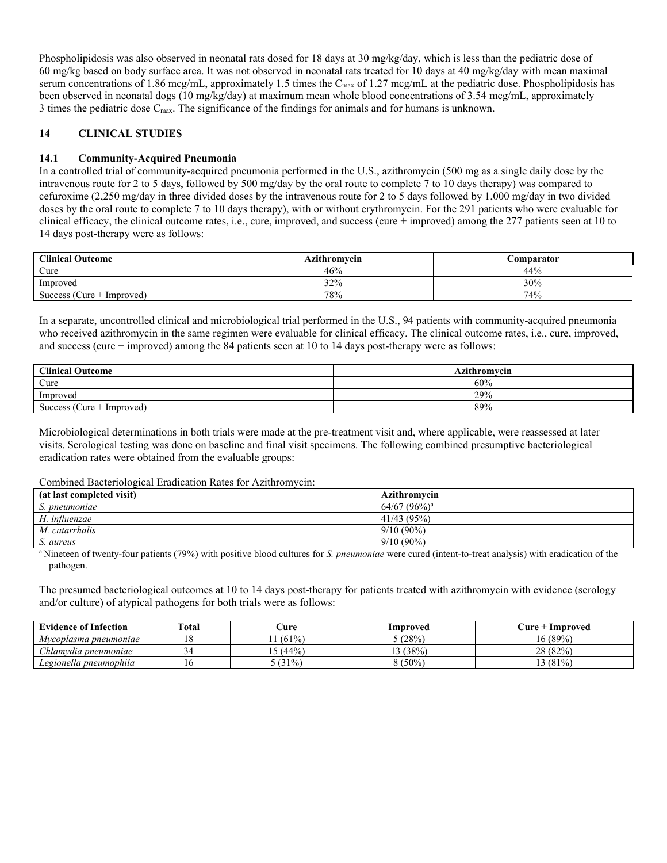Phospholipidosis was also observed in neonatal rats dosed for 18 days at 30 mg/kg/day, which is less than the pediatric dose of 60 mg/kg based on body surface area. It was not observed in neonatal rats treated for 10 days at 40 mg/kg/day with mean maximal serum concentrations of 1.86 mcg/mL, approximately 1.5 times the C<sub>max</sub> of 1.27 mcg/mL at the pediatric dose. Phospholipidosis has been observed in neonatal dogs (10 mg/kg/day) at maximum mean whole blood concentrations of 3.54 mcg/mL, approximately 3 times the pediatric dose Cmax. The significance of the findings for animals and for humans is unknown.

# **14 CLINICAL STUDIES**

## **14.1 Community-Acquired Pneumonia**

In a controlled trial of community-acquired pneumonia performed in the U.S., azithromycin (500 mg as a single daily dose by the intravenous route for 2 to 5 days, followed by 500 mg/day by the oral route to complete 7 to 10 days therapy) was compared to cefuroxime (2,250 mg/day in three divided doses by the intravenous route for 2 to 5 days followed by 1,000 mg/day in two divided doses by the oral route to complete 7 to 10 days therapy), with or without erythromycin. For the 291 patients who were evaluable for clinical efficacy, the clinical outcome rates, i.e., cure, improved, and success (cure + improved) among the 277 patients seen at 10 to 14 days post-therapy were as follows:

| <b>Clinical Outcome</b>     | Azithromvcin | <b>Comparator</b> |
|-----------------------------|--------------|-------------------|
| Cure                        | 46%          | 44%               |
| Improved                    | 32%          | 30%               |
| Success (Cure $+$ Improved) | 78%          | 74%               |

In a separate, uncontrolled clinical and microbiological trial performed in the U.S., 94 patients with community-acquired pneumonia who received azithromycin in the same regimen were evaluable for clinical efficacy. The clinical outcome rates, i.e., cure, improved, and success (cure  $+$  improved) among the 84 patients seen at 10 to 14 days post-therapy were as follows:

| <b>Clinical Outcome</b>     | <b>Azithromycin</b> |
|-----------------------------|---------------------|
| Cure                        | 60%                 |
| Improved                    | 29%                 |
| Success (Cure $+$ Improved) | 89%                 |

Microbiological determinations in both trials were made at the pre-treatment visit and, where applicable, were reassessed at later visits. Serological testing was done on baseline and final visit specimens. The following combined presumptive bacteriological eradication rates were obtained from the evaluable groups:

#### Combined Bacteriological Eradication Rates for Azithromycin:

| (at last completed visit) | <b>Azithromycin</b>        |
|---------------------------|----------------------------|
| S. pneumoniae             | $64/67$ (96%) <sup>a</sup> |
| H. influenzae             | 41/43 (95%)                |
| M. catarrhalis            | $9/10(90\%)$               |
| S. aureus                 | $9/10(90\%)$               |

<sup>a</sup> Nineteen of twenty-four patients (79%) with positive blood cultures for *S. pneumoniae* were cured (intent-to-treat analysis) with eradication of the pathogen.

The presumed bacteriological outcomes at 10 to 14 days post-therapy for patients treated with azithromycin with evidence (serology and/or culture) of atypical pathogens for both trials were as follows:

| <b>Evidence of Infection</b>                | <b>Total</b> | ∴ure    | Improved   | ∶ure +<br>Improved |
|---------------------------------------------|--------------|---------|------------|--------------------|
| Mycoplasma pneumoniae                       |              | (61%    | (28%       | 16 (89%)           |
| $\sim$ $\sim$ $\sim$<br>hlamvdia pneumoniae |              | $(44\%$ | (38%)<br>ຳ | 28 (82%)           |
| Legionella pneumophila                      | 1 U          | (31%)   | 8 (50%     | 3(81%              |